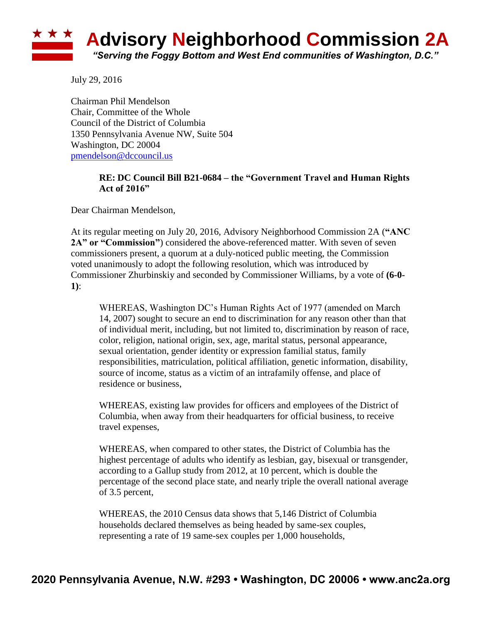

July 29, 2016

Chairman Phil Mendelson Chair, Committee of the Whole Council of the District of Columbia 1350 Pennsylvania Avenue NW, Suite 504 Washington, DC 20004 [pmendelson@dccouncil.us](mailto:pmendelson@dccouncil.us)

## **RE: DC Council Bill B21-0684 – the "Government Travel and Human Rights Act of 2016"**

Dear Chairman Mendelson,

At its regular meeting on July 20, 2016, Advisory Neighborhood Commission 2A (**"ANC 2A" or "Commission"**) considered the above-referenced matter. With seven of seven commissioners present, a quorum at a duly-noticed public meeting, the Commission voted unanimously to adopt the following resolution, which was introduced by Commissioner Zhurbinskiy and seconded by Commissioner Williams, by a vote of **(6-0- 1)**:

WHEREAS, Washington DC's Human Rights Act of 1977 (amended on March 14, 2007) sought to secure an end to discrimination for any reason other than that of individual merit, including, but not limited to, discrimination by reason of race, color, religion, national origin, sex, age, marital status, personal appearance, sexual orientation, gender identity or expression familial status, family responsibilities, matriculation, political affiliation, genetic information, disability, source of income, status as a victim of an intrafamily offense, and place of residence or business,

WHEREAS, existing law provides for officers and employees of the District of Columbia, when away from their headquarters for official business, to receive travel expenses,

WHEREAS, when compared to other states, the District of Columbia has the highest percentage of adults who identify as lesbian, gay, bisexual or transgender, according to a Gallup study from 2012, at 10 percent, which is double the percentage of the second place state, and nearly triple the overall national average of 3.5 percent,

WHEREAS, the 2010 Census data shows that 5,146 District of Columbia households declared themselves as being headed by same-sex couples, representing a rate of 19 same-sex couples per 1,000 households,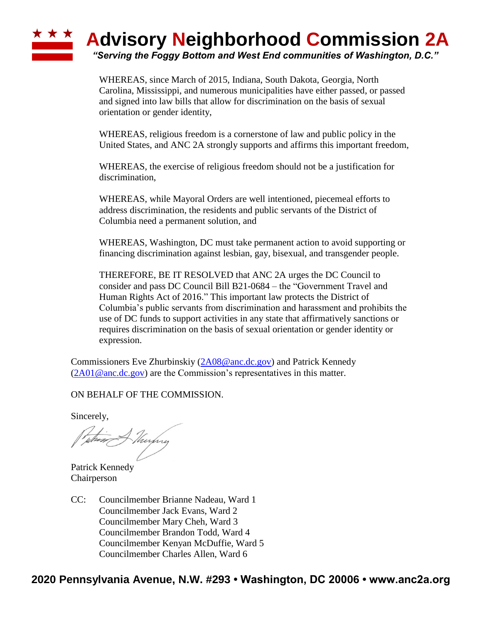## **\* \* \* Advisory Neighborhood Commission 2A** *"Serving the Foggy Bottom and West End communities of Washington, D.C."*

WHEREAS, since March of 2015, Indiana, South Dakota, Georgia, North Carolina, Mississippi, and numerous municipalities have either passed, or passed and signed into law bills that allow for discrimination on the basis of sexual orientation or gender identity,

WHEREAS, religious freedom is a cornerstone of law and public policy in the United States, and ANC 2A strongly supports and affirms this important freedom,

WHEREAS, the exercise of religious freedom should not be a justification for discrimination,

WHEREAS, while Mayoral Orders are well intentioned, piecemeal efforts to address discrimination, the residents and public servants of the District of Columbia need a permanent solution, and

WHEREAS, Washington, DC must take permanent action to avoid supporting or financing discrimination against lesbian, gay, bisexual, and transgender people.

THEREFORE, BE IT RESOLVED that ANC 2A urges the DC Council to consider and pass DC Council Bill B21-0684 – the "Government Travel and Human Rights Act of 2016." This important law protects the District of Columbia's public servants from discrimination and harassment and prohibits the use of DC funds to support activities in any state that affirmatively sanctions or requires discrimination on the basis of sexual orientation or gender identity or expression.

Commissioners Eve Zhurbinskiy [\(2A08@anc.dc.gov\)](mailto:2A08@anc.dc.gov) and Patrick Kennedy  $(2A01@anc.dc.gov)$  are the Commission's representatives in this matter.

ON BEHALF OF THE COMMISSION.

Sincerely,

tuthear A thinging

Patrick Kennedy Chairperson

CC: Councilmember Brianne Nadeau, Ward 1 Councilmember Jack Evans, Ward 2 Councilmember Mary Cheh, Ward 3 Councilmember Brandon Todd, Ward 4 Councilmember Kenyan McDuffie, Ward 5 Councilmember Charles Allen, Ward 6

## **2020 Pennsylvania Avenue, N.W. #293 • Washington, DC 20006 • www.anc2a.org**